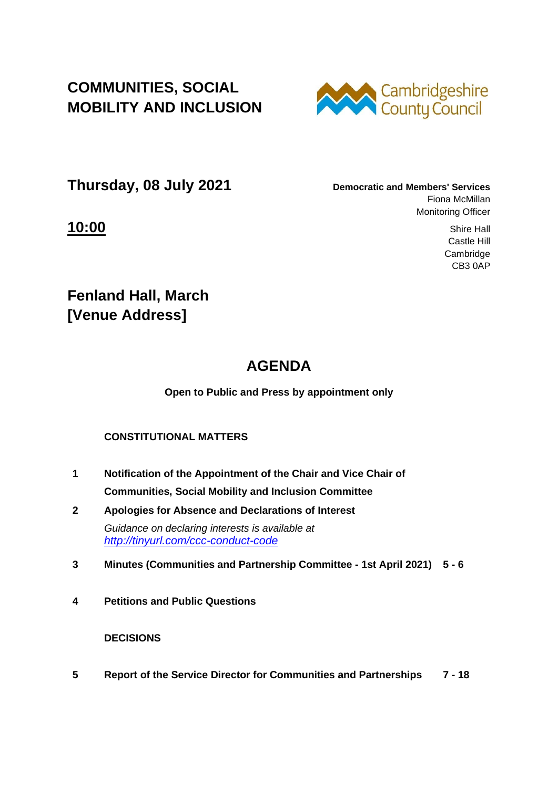**COMMUNITIES, SOCIAL MOBILITY AND INCLUSION**



**Thursday, 08 July 2021 Democratic and Members' Services**

Fiona McMillan Monitoring Officer

**10:00** Shire Hall Castle Hill Cambridge CB3 0AP

**Fenland Hall, March [Venue Address]**

## **AGENDA**

**Open to Public and Press by appointment only**

## **CONSTITUTIONAL MATTERS**

- **1 Notification of the Appointment of the Chair and Vice Chair of Communities, Social Mobility and Inclusion Committee**
- **2 Apologies for Absence and Declarations of Interest** *Guidance on declaring interests is available at <http://tinyurl.com/ccc-conduct-code>*
- **3 Minutes (Communities and Partnership Committee - 1st April 2021) 5 - 6**
- **4 Petitions and Public Questions**

## **DECISIONS**

**5 Report of the Service Director for Communities and Partnerships 7 - 18**